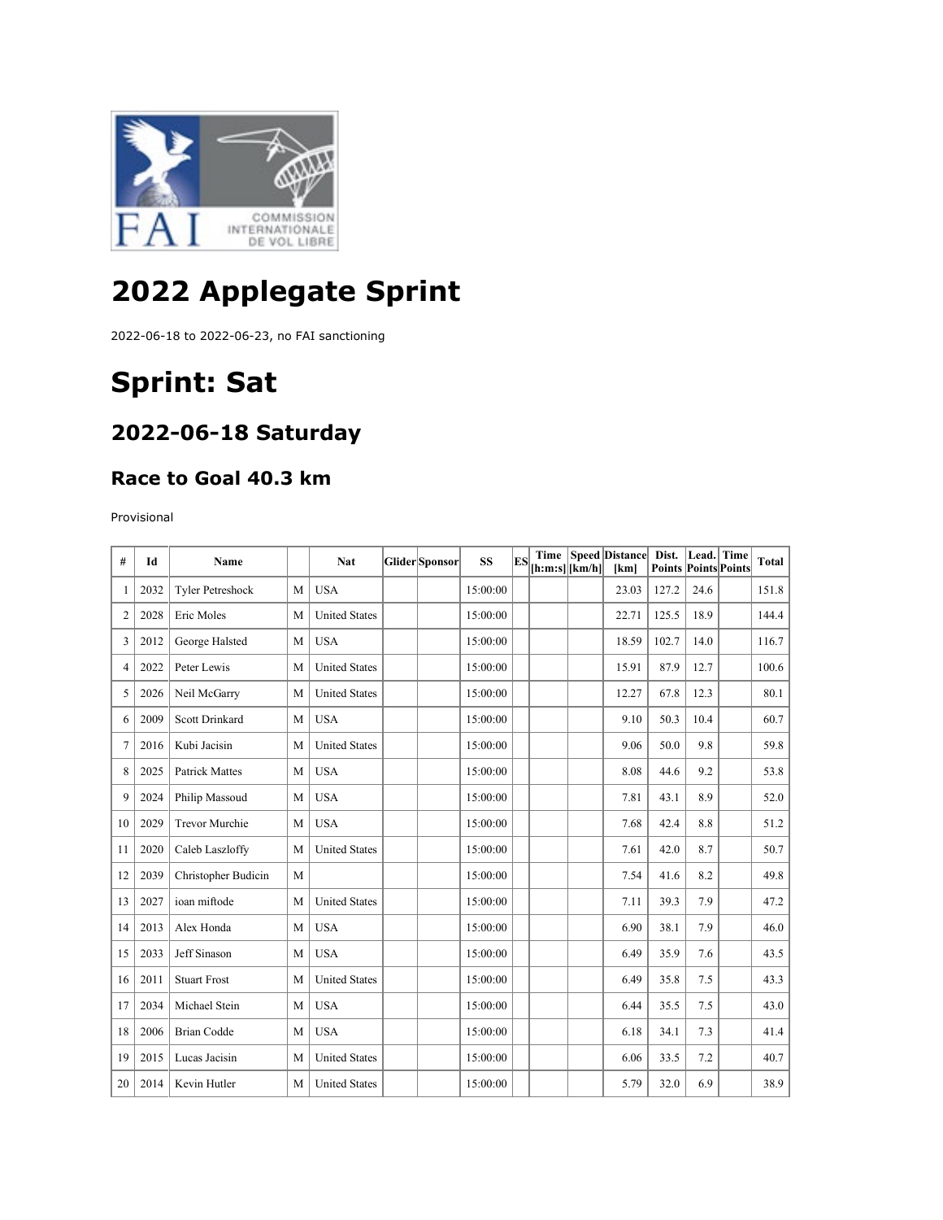

# **2022 Applegate Sprint**

2022-06-18 to 2022-06-23, no FAI sanctioning

# **Sprint: Sat**

#### **2022-06-18 Saturday**

#### **Race to Goal 40.3 km**

Provisional

| #  | Id   | Name                    |   | <b>Nat</b>           | Glider Sponsor | <b>SS</b> | ES | $[\text{h:m:s}][\text{km/h}]$ | Time   Speed   Distance  <br>[km] | Dist.<br><b>Points Points Points</b> | Lead. Time | <b>Total</b> |
|----|------|-------------------------|---|----------------------|----------------|-----------|----|-------------------------------|-----------------------------------|--------------------------------------|------------|--------------|
| 1  | 2032 | <b>Tyler Petreshock</b> | M | <b>USA</b>           |                | 15:00:00  |    |                               | 23.03                             | 127.2                                | 24.6       | 151.8        |
| 2  | 2028 | Eric Moles              | M | <b>United States</b> |                | 15:00:00  |    |                               | 22.71                             | 125.5                                | 18.9       | 144.4        |
| 3  | 2012 | George Halsted          | M | <b>USA</b>           |                | 15:00:00  |    |                               | 18.59                             | 102.7                                | 14.0       | 116.7        |
| 4  | 2022 | Peter Lewis             | M | <b>United States</b> |                | 15:00:00  |    |                               | 15.91                             | 87.9                                 | 12.7       | 100.6        |
| 5  | 2026 | Neil McGarry            | M | <b>United States</b> |                | 15:00:00  |    |                               | 12.27                             | 67.8                                 | 12.3       | 80.1         |
| 6  | 2009 | Scott Drinkard          | M | <b>USA</b>           |                | 15:00:00  |    |                               | 9.10                              | 50.3                                 | 10.4       | 60.7         |
| 7  | 2016 | Kubi Jacisin            | M | <b>United States</b> |                | 15:00:00  |    |                               | 9.06                              | 50.0                                 | 9.8        | 59.8         |
| 8  | 2025 | <b>Patrick Mattes</b>   | M | <b>USA</b>           |                | 15:00:00  |    |                               | 8.08                              | 44.6                                 | 9.2        | 53.8         |
| 9  | 2024 | Philip Massoud          | M | <b>USA</b>           |                | 15:00:00  |    |                               | 7.81                              | 43.1                                 | 8.9        | 52.0         |
| 10 | 2029 | <b>Trevor Murchie</b>   | M | <b>USA</b>           |                | 15:00:00  |    |                               | 7.68                              | 42.4                                 | 8.8        | 51.2         |
| 11 | 2020 | Caleb Laszloffy         | M | <b>United States</b> |                | 15:00:00  |    |                               | 7.61                              | 42.0                                 | 8.7        | 50.7         |
| 12 | 2039 | Christopher Budicin     | M |                      |                | 15:00:00  |    |                               | 7.54                              | 41.6                                 | 8.2        | 49.8         |
| 13 | 2027 | ioan miftode            | M | <b>United States</b> |                | 15:00:00  |    |                               | 7.11                              | 39.3                                 | 7.9        | 47.2         |
| 14 | 2013 | Alex Honda              | M | <b>USA</b>           |                | 15:00:00  |    |                               | 6.90                              | 38.1                                 | 7.9        | 46.0         |
| 15 | 2033 | Jeff Sinason            | M | <b>USA</b>           |                | 15:00:00  |    |                               | 6.49                              | 35.9                                 | 7.6        | 43.5         |
| 16 | 2011 | <b>Stuart Frost</b>     | M | <b>United States</b> |                | 15:00:00  |    |                               | 6.49                              | 35.8                                 | 7.5        | 43.3         |
| 17 | 2034 | Michael Stein           | M | <b>USA</b>           |                | 15:00:00  |    |                               | 6.44                              | 35.5                                 | 7.5        | 43.0         |
| 18 | 2006 | <b>Brian Codde</b>      | M | <b>USA</b>           |                | 15:00:00  |    |                               | 6.18                              | 34.1                                 | 7.3        | 41.4         |
| 19 | 2015 | Lucas Jacisin           | M | <b>United States</b> |                | 15:00:00  |    |                               | 6.06                              | 33.5                                 | 7.2        | 40.7         |
| 20 | 2014 | Kevin Hutler            | M | <b>United States</b> |                | 15:00:00  |    |                               | 5.79                              | 32.0                                 | 6.9        | 38.9         |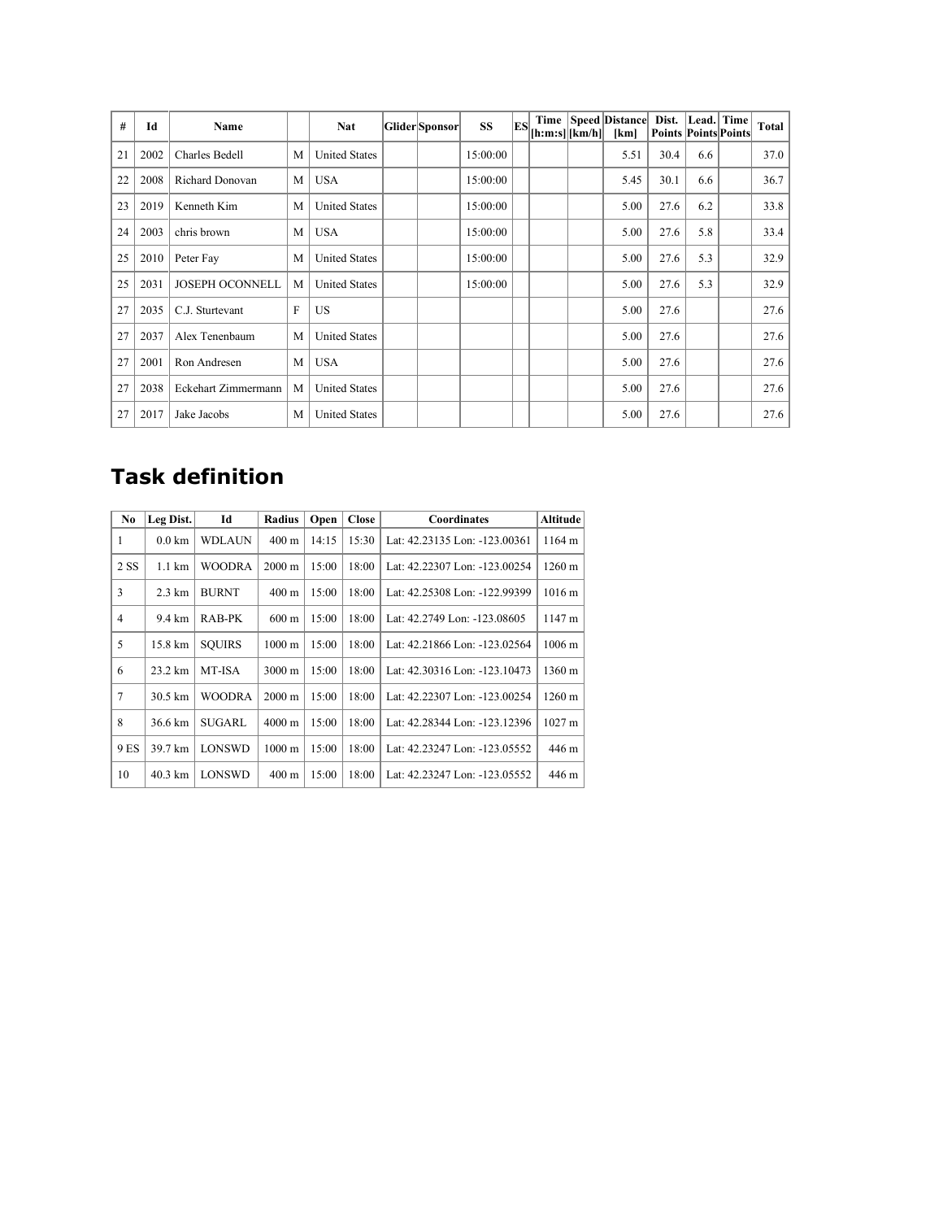| #  | Id   | Name                   |              | Nat                  | Glider Sponsor | <b>SS</b> | ES | $[h:m:s][km/h][m]$ | Time   Speed   Distance  <br>[km] | Dist.<br><b>Points Points Points</b> |     | Lead. Time | Total |
|----|------|------------------------|--------------|----------------------|----------------|-----------|----|--------------------|-----------------------------------|--------------------------------------|-----|------------|-------|
| 21 | 2002 | Charles Bedell         | M            | <b>United States</b> |                | 15:00:00  |    |                    | 5.51                              | 30.4                                 | 6.6 |            | 37.0  |
| 22 | 2008 | Richard Donovan        | M            | <b>USA</b>           |                | 15:00:00  |    |                    | 5.45                              | 30.1                                 | 6.6 |            | 36.7  |
| 23 | 2019 | Kenneth Kim            | M            | <b>United States</b> |                | 15:00:00  |    |                    | 5.00                              | 27.6                                 | 6.2 |            | 33.8  |
| 24 | 2003 | chris brown            | M            | <b>USA</b>           |                | 15:00:00  |    |                    | 5.00                              | 27.6                                 | 5.8 |            | 33.4  |
| 25 | 2010 | Peter Fay              | M            | <b>United States</b> |                | 15:00:00  |    |                    | 5.00                              | 27.6                                 | 5.3 |            | 32.9  |
| 25 | 2031 | <b>JOSEPH OCONNELL</b> | M            | <b>United States</b> |                | 15:00:00  |    |                    | 5.00                              | 27.6                                 | 5.3 |            | 32.9  |
| 27 | 2035 | C.J. Sturtevant        | $\mathbf{F}$ | <b>US</b>            |                |           |    |                    | 5.00                              | 27.6                                 |     |            | 27.6  |
| 27 | 2037 | Alex Tenenbaum         | M            | <b>United States</b> |                |           |    |                    | 5.00                              | 27.6                                 |     |            | 27.6  |
| 27 | 2001 | Ron Andresen           | M            | <b>USA</b>           |                |           |    |                    | 5.00                              | 27.6                                 |     |            | 27.6  |
| 27 | 2038 | Eckehart Zimmermann    | M            | <b>United States</b> |                |           |    |                    | 5.00                              | 27.6                                 |     |            | 27.6  |
| 27 | 2017 | Jake Jacobs            | M            | <b>United States</b> |                |           |    |                    | 5.00                              | 27.6                                 |     |            | 27.6  |

### **Task definition**

| N <sub>0</sub> | Leg Dist.         | Id            | Radius           | Open  | <b>Close</b> | Coordinates                   | Altitude             |
|----------------|-------------------|---------------|------------------|-------|--------------|-------------------------------|----------------------|
| 1              | $0.0 \mathrm{km}$ | <b>WDLAUN</b> | $400 \text{ m}$  | 14:15 | 15:30        | Lat: 42.23135 Lon: -123.00361 | 1164 m               |
| 2 SS           | $1.1 \text{ km}$  | <b>WOODRA</b> | $2000 \text{ m}$ | 15:00 | 18:00        | Lat: 42.22307 Lon: -123.00254 | $1260 \text{ m}$     |
| 3              | $2.3 \text{ km}$  | <b>BURNT</b>  | $400 \text{ m}$  | 15:00 | 18:00        | Lat: 42.25308 Lon: -122.99399 | $1016 \text{ m}$     |
| 4              | 9.4 km            | RAB-PK        | $600 \text{ m}$  | 15:00 | 18:00        | Lat: 42.2749 Lon: -123.08605  | 1147 m               |
| 5              | 15.8 km           | SOUIRS        | $1000 \text{ m}$ | 15:00 | 18:00        | Lat: 42.21866 Lon: -123.02564 | $1006 \; \mathrm{m}$ |
| 6              | 23.2 km           | MT-ISA        | $3000 \text{ m}$ | 15:00 | 18:00        | Lat: 42.30316 Lon: -123.10473 | 1360 m               |
| 7              | 30.5 km           | <b>WOODRA</b> | 2000 m           | 15:00 | 18:00        | Lat: 42.22307 Lon: -123.00254 | $1260 \text{ m}$     |
| 8              | 36.6 km           | SUGARL        | $4000 \text{ m}$ | 15:00 | 18:00        | Lat: 42.28344 Lon: -123.12396 | $1027 \text{ m}$     |
| 9 ES           | 39.7 km           | <b>LONSWD</b> | $1000 \text{ m}$ | 15:00 | 18:00        | Lat: 42.23247 Lon: -123.05552 | 446 m                |
| 10             | $40.3 \text{ km}$ | LONSWD        | $400 \text{ m}$  | 15:00 | 18:00        | Lat: 42.23247 Lon: -123.05552 | 446 m                |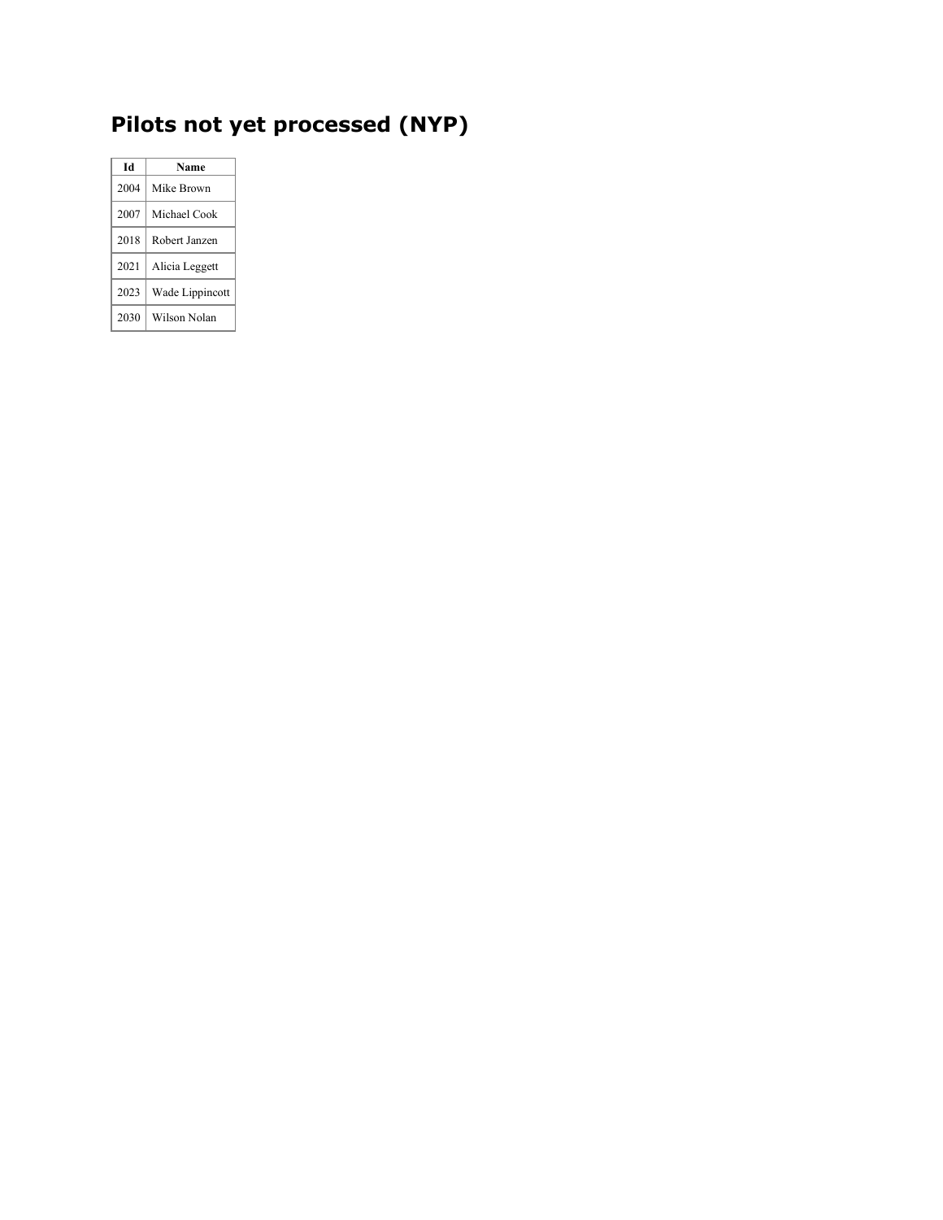## **Pilots not yet processed (NYP)**

| Id   | Name            |
|------|-----------------|
| 2004 | Mike Brown      |
| 2007 | Michael Cook    |
| 2018 | Robert Janzen   |
| 2021 | Alicia Leggett  |
| 2023 | Wade Lippincott |
| 2030 | Wilson Nolan    |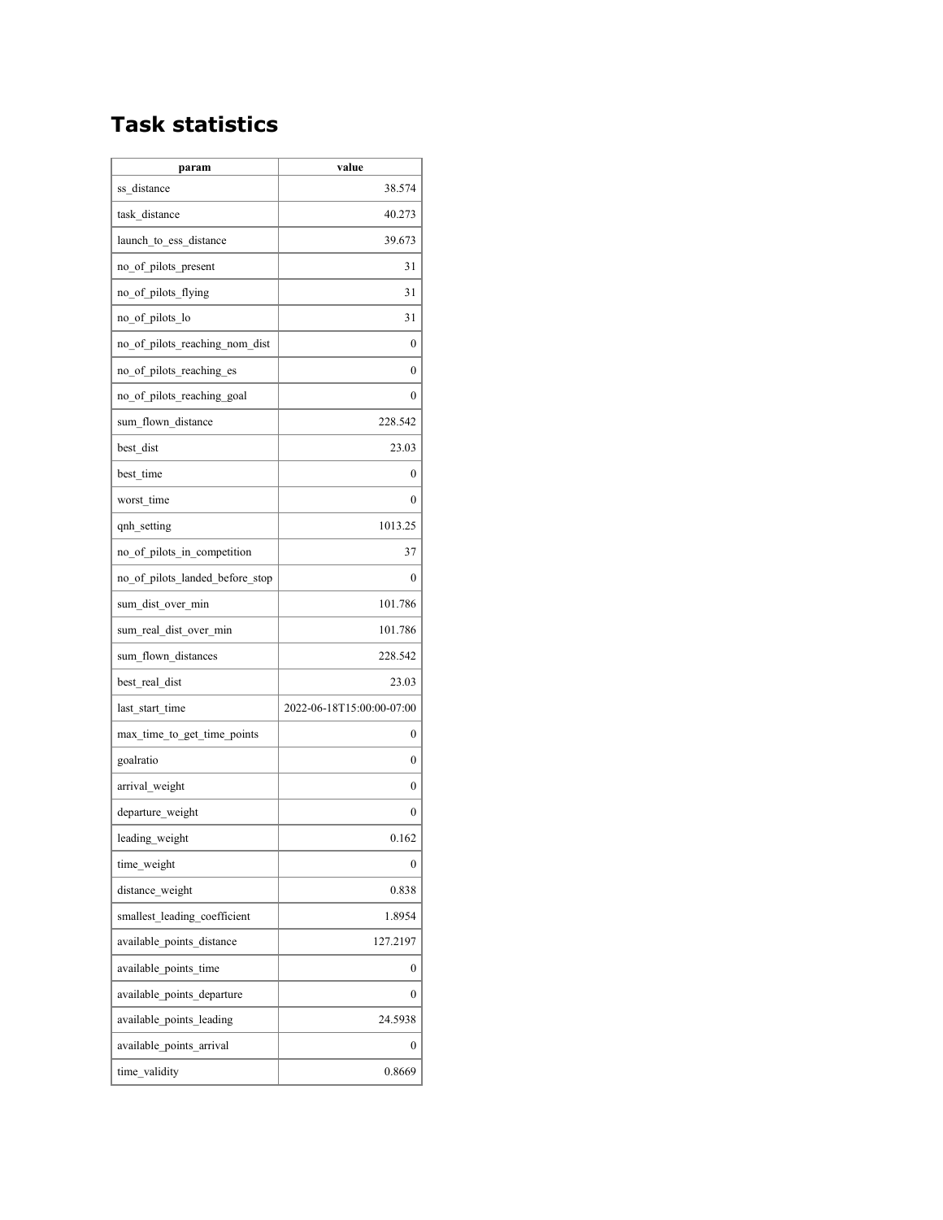### **Task statistics**

| param                           | value                     |
|---------------------------------|---------------------------|
| ss distance                     | 38.574                    |
| task distance                   | 40.273                    |
| launch to ess distance          | 39.673                    |
| no_of_pilots_present            | 31                        |
| no_of_pilots_flying             | 31                        |
| no of pilots lo                 | 31                        |
| no of pilots reaching nom dist  | 0                         |
| no of pilots reaching es        | 0                         |
| no of pilots reaching goal      | 0                         |
| sum flown distance              | 228.542                   |
| best dist                       | 23.03                     |
| best time                       | 0                         |
| worst time                      | 0                         |
| qnh_setting                     | 1013.25                   |
| no of pilots in competition     | 37                        |
| no of pilots landed before stop | 0                         |
| sum dist over min               | 101.786                   |
| sum real dist over min          | 101.786                   |
| sum flown distances             | 228.542                   |
| best real dist                  | 23.03                     |
| last start time                 | 2022-06-18T15:00:00-07:00 |
| max time to get time points     | 0                         |
| goalratio                       | 0                         |
| arrival weight                  | 0                         |
| departure weight                | 0                         |
| leading weight                  | 0.162                     |
| time weight                     | 0                         |
| distance weight                 | 0.838                     |
| smallest_leading_coefficient    | 1.8954                    |
| available points distance       | 127.2197                  |
| available points time           | 0                         |
| available points departure      | 0                         |
| available points leading        | 24.5938                   |
| available points arrival        | 0                         |
| time validity                   | 0.8669                    |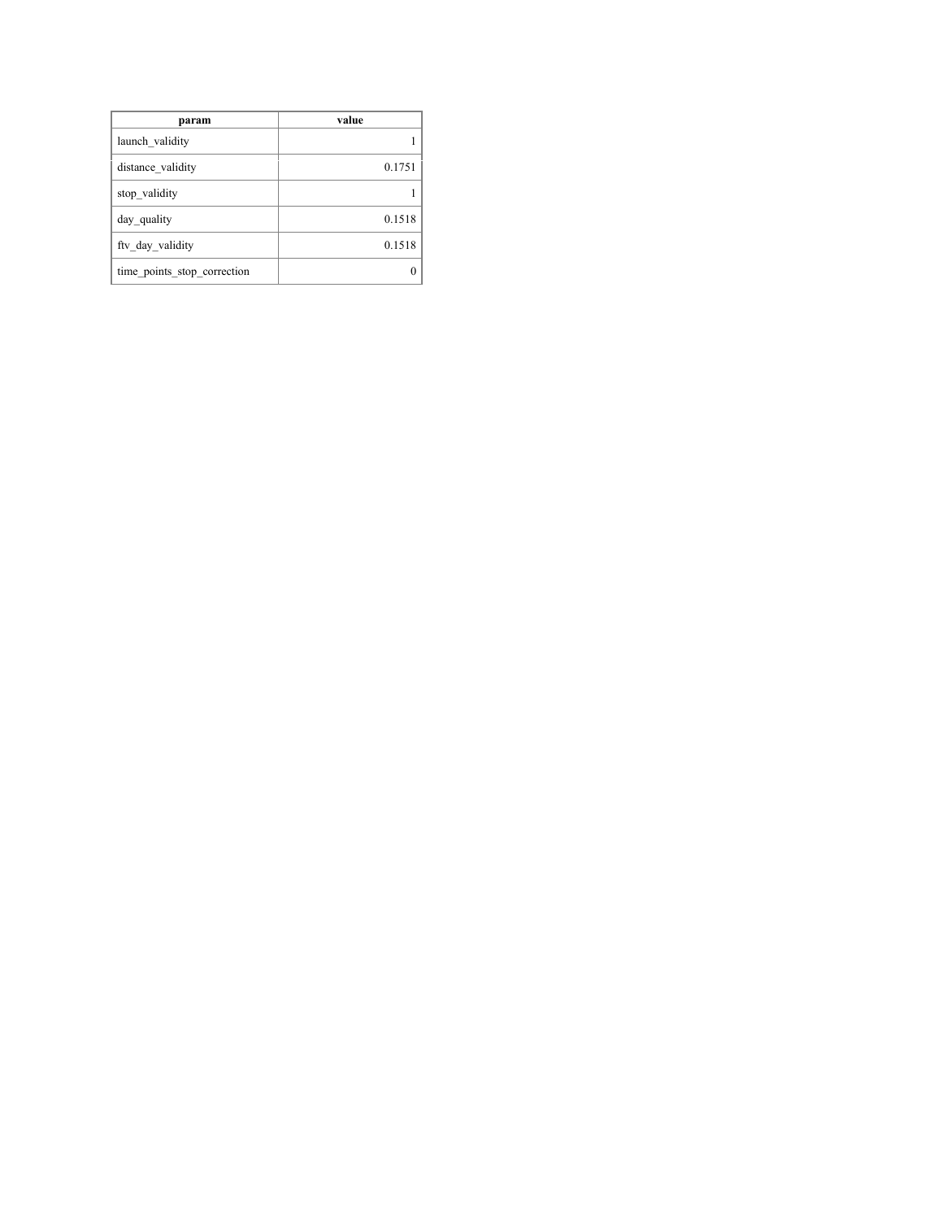| param                       | value  |
|-----------------------------|--------|
| launch validity             |        |
| distance validity           | 0.1751 |
| stop validity               |        |
| day quality                 | 0.1518 |
| fty day validity            | 0.1518 |
| time points stop correction |        |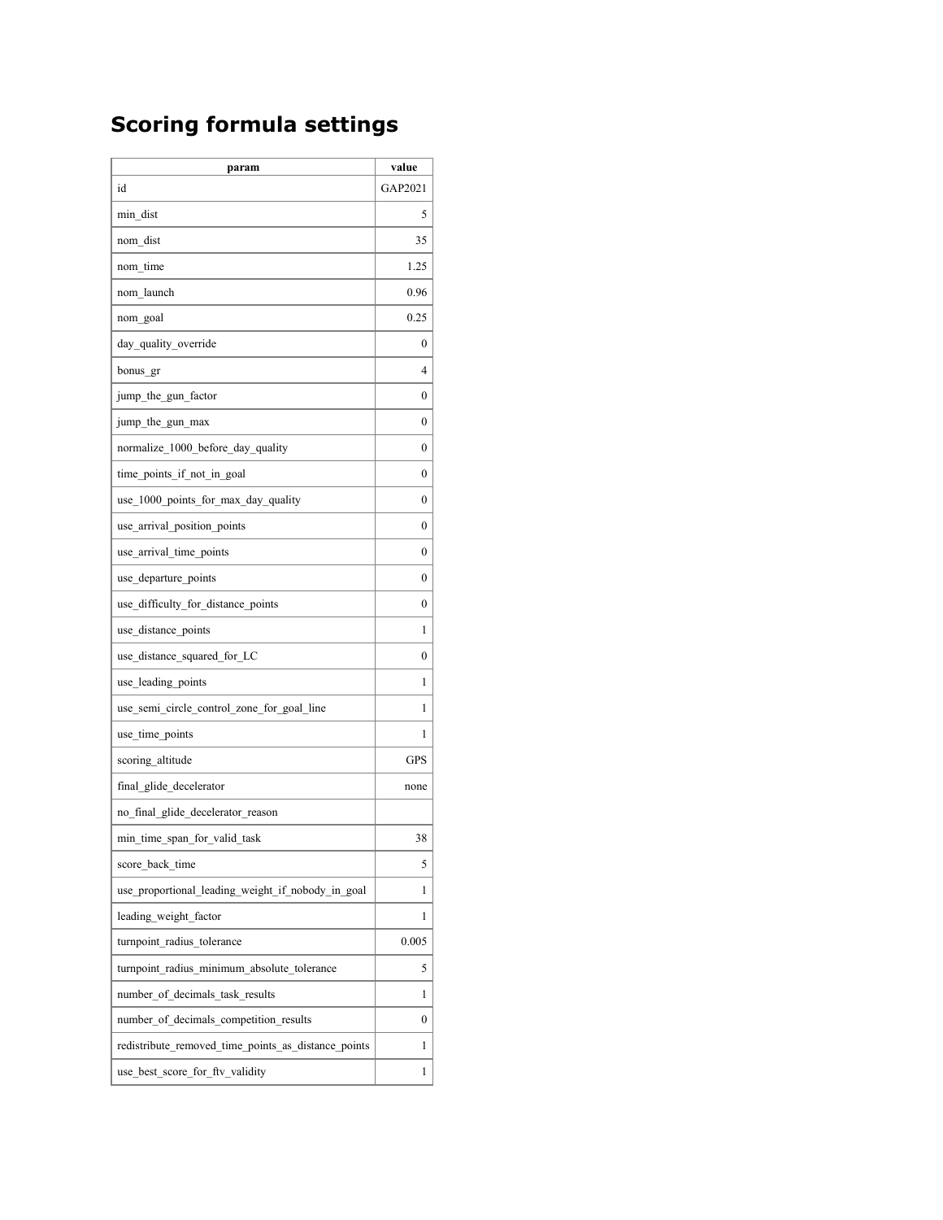### **Scoring formula settings**

| GAP2021<br>id<br>min dist<br>5<br>nom dist<br>35<br>nom time<br>1.25<br>nom launch<br>0.96<br>0.25<br>nom goal<br>day quality override<br>0<br>4<br>bonus gr<br>jump_the_gun_factor<br>0<br>jump the gun max<br>0<br>normalize_1000_before_day_quality<br>0<br>time points if not in goal<br>0<br>use 1000 points for max day quality<br>0<br>use arrival position points<br>0<br>use arrival time points<br>0<br>use_departure_points<br>0<br>use_difficulty_for_distance_points<br>0<br>use distance points<br>1<br>use distance squared for LC<br>0<br>use leading points<br>1<br>use semi circle control zone for goal line<br>1<br>use_time_points<br>1<br>scoring altitude<br><b>GPS</b><br>final glide decelerator<br>none<br>no final glide decelerator reason<br>min time span for valid task<br>38<br>5<br>score back time<br>use proportional leading weight if nobody in goal<br>1<br>leading weight factor<br>1<br>0.005<br>turnpoint radius tolerance<br>turnpoint radius minimum absolute tolerance<br>5<br>number of decimals task results<br>1<br>number of decimals competition results<br>$\boldsymbol{0}$<br>redistribute removed time points as distance points<br>1<br>1 | param                           | value |
|------------------------------------------------------------------------------------------------------------------------------------------------------------------------------------------------------------------------------------------------------------------------------------------------------------------------------------------------------------------------------------------------------------------------------------------------------------------------------------------------------------------------------------------------------------------------------------------------------------------------------------------------------------------------------------------------------------------------------------------------------------------------------------------------------------------------------------------------------------------------------------------------------------------------------------------------------------------------------------------------------------------------------------------------------------------------------------------------------------------------------------------------------------------------------------------------|---------------------------------|-------|
|                                                                                                                                                                                                                                                                                                                                                                                                                                                                                                                                                                                                                                                                                                                                                                                                                                                                                                                                                                                                                                                                                                                                                                                                |                                 |       |
|                                                                                                                                                                                                                                                                                                                                                                                                                                                                                                                                                                                                                                                                                                                                                                                                                                                                                                                                                                                                                                                                                                                                                                                                |                                 |       |
|                                                                                                                                                                                                                                                                                                                                                                                                                                                                                                                                                                                                                                                                                                                                                                                                                                                                                                                                                                                                                                                                                                                                                                                                |                                 |       |
|                                                                                                                                                                                                                                                                                                                                                                                                                                                                                                                                                                                                                                                                                                                                                                                                                                                                                                                                                                                                                                                                                                                                                                                                |                                 |       |
|                                                                                                                                                                                                                                                                                                                                                                                                                                                                                                                                                                                                                                                                                                                                                                                                                                                                                                                                                                                                                                                                                                                                                                                                |                                 |       |
|                                                                                                                                                                                                                                                                                                                                                                                                                                                                                                                                                                                                                                                                                                                                                                                                                                                                                                                                                                                                                                                                                                                                                                                                |                                 |       |
|                                                                                                                                                                                                                                                                                                                                                                                                                                                                                                                                                                                                                                                                                                                                                                                                                                                                                                                                                                                                                                                                                                                                                                                                |                                 |       |
|                                                                                                                                                                                                                                                                                                                                                                                                                                                                                                                                                                                                                                                                                                                                                                                                                                                                                                                                                                                                                                                                                                                                                                                                |                                 |       |
|                                                                                                                                                                                                                                                                                                                                                                                                                                                                                                                                                                                                                                                                                                                                                                                                                                                                                                                                                                                                                                                                                                                                                                                                |                                 |       |
|                                                                                                                                                                                                                                                                                                                                                                                                                                                                                                                                                                                                                                                                                                                                                                                                                                                                                                                                                                                                                                                                                                                                                                                                |                                 |       |
|                                                                                                                                                                                                                                                                                                                                                                                                                                                                                                                                                                                                                                                                                                                                                                                                                                                                                                                                                                                                                                                                                                                                                                                                |                                 |       |
|                                                                                                                                                                                                                                                                                                                                                                                                                                                                                                                                                                                                                                                                                                                                                                                                                                                                                                                                                                                                                                                                                                                                                                                                |                                 |       |
|                                                                                                                                                                                                                                                                                                                                                                                                                                                                                                                                                                                                                                                                                                                                                                                                                                                                                                                                                                                                                                                                                                                                                                                                |                                 |       |
|                                                                                                                                                                                                                                                                                                                                                                                                                                                                                                                                                                                                                                                                                                                                                                                                                                                                                                                                                                                                                                                                                                                                                                                                |                                 |       |
|                                                                                                                                                                                                                                                                                                                                                                                                                                                                                                                                                                                                                                                                                                                                                                                                                                                                                                                                                                                                                                                                                                                                                                                                |                                 |       |
|                                                                                                                                                                                                                                                                                                                                                                                                                                                                                                                                                                                                                                                                                                                                                                                                                                                                                                                                                                                                                                                                                                                                                                                                |                                 |       |
|                                                                                                                                                                                                                                                                                                                                                                                                                                                                                                                                                                                                                                                                                                                                                                                                                                                                                                                                                                                                                                                                                                                                                                                                |                                 |       |
|                                                                                                                                                                                                                                                                                                                                                                                                                                                                                                                                                                                                                                                                                                                                                                                                                                                                                                                                                                                                                                                                                                                                                                                                |                                 |       |
|                                                                                                                                                                                                                                                                                                                                                                                                                                                                                                                                                                                                                                                                                                                                                                                                                                                                                                                                                                                                                                                                                                                                                                                                |                                 |       |
|                                                                                                                                                                                                                                                                                                                                                                                                                                                                                                                                                                                                                                                                                                                                                                                                                                                                                                                                                                                                                                                                                                                                                                                                |                                 |       |
|                                                                                                                                                                                                                                                                                                                                                                                                                                                                                                                                                                                                                                                                                                                                                                                                                                                                                                                                                                                                                                                                                                                                                                                                |                                 |       |
|                                                                                                                                                                                                                                                                                                                                                                                                                                                                                                                                                                                                                                                                                                                                                                                                                                                                                                                                                                                                                                                                                                                                                                                                |                                 |       |
|                                                                                                                                                                                                                                                                                                                                                                                                                                                                                                                                                                                                                                                                                                                                                                                                                                                                                                                                                                                                                                                                                                                                                                                                |                                 |       |
|                                                                                                                                                                                                                                                                                                                                                                                                                                                                                                                                                                                                                                                                                                                                                                                                                                                                                                                                                                                                                                                                                                                                                                                                |                                 |       |
|                                                                                                                                                                                                                                                                                                                                                                                                                                                                                                                                                                                                                                                                                                                                                                                                                                                                                                                                                                                                                                                                                                                                                                                                |                                 |       |
|                                                                                                                                                                                                                                                                                                                                                                                                                                                                                                                                                                                                                                                                                                                                                                                                                                                                                                                                                                                                                                                                                                                                                                                                |                                 |       |
|                                                                                                                                                                                                                                                                                                                                                                                                                                                                                                                                                                                                                                                                                                                                                                                                                                                                                                                                                                                                                                                                                                                                                                                                |                                 |       |
|                                                                                                                                                                                                                                                                                                                                                                                                                                                                                                                                                                                                                                                                                                                                                                                                                                                                                                                                                                                                                                                                                                                                                                                                |                                 |       |
|                                                                                                                                                                                                                                                                                                                                                                                                                                                                                                                                                                                                                                                                                                                                                                                                                                                                                                                                                                                                                                                                                                                                                                                                |                                 |       |
|                                                                                                                                                                                                                                                                                                                                                                                                                                                                                                                                                                                                                                                                                                                                                                                                                                                                                                                                                                                                                                                                                                                                                                                                |                                 |       |
|                                                                                                                                                                                                                                                                                                                                                                                                                                                                                                                                                                                                                                                                                                                                                                                                                                                                                                                                                                                                                                                                                                                                                                                                |                                 |       |
|                                                                                                                                                                                                                                                                                                                                                                                                                                                                                                                                                                                                                                                                                                                                                                                                                                                                                                                                                                                                                                                                                                                                                                                                |                                 |       |
|                                                                                                                                                                                                                                                                                                                                                                                                                                                                                                                                                                                                                                                                                                                                                                                                                                                                                                                                                                                                                                                                                                                                                                                                |                                 |       |
|                                                                                                                                                                                                                                                                                                                                                                                                                                                                                                                                                                                                                                                                                                                                                                                                                                                                                                                                                                                                                                                                                                                                                                                                |                                 |       |
|                                                                                                                                                                                                                                                                                                                                                                                                                                                                                                                                                                                                                                                                                                                                                                                                                                                                                                                                                                                                                                                                                                                                                                                                | use_best_score_for_ftv_validity |       |